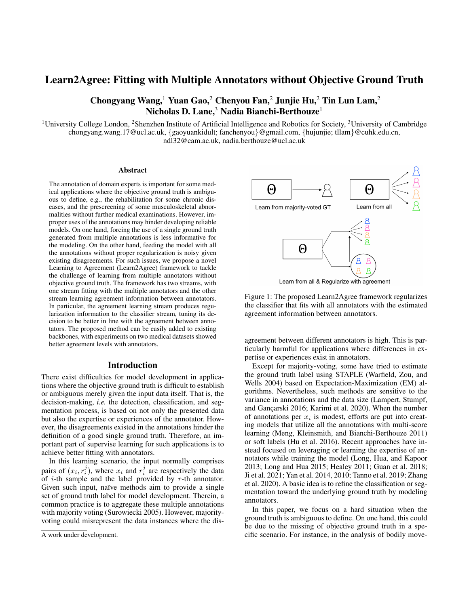# Learn2Agree: Fitting with Multiple Annotators without Objective Ground Truth

## Chongyang Wang,<sup>1</sup> Yuan Gao,<sup>2</sup> Chenyou Fan,<sup>2</sup> Junjie Hu,<sup>2</sup> Tin Lun Lam,<sup>2</sup> Nicholas D. Lane, $3$  Nadia Bianchi-Berthouze<sup>1</sup>

<sup>1</sup>University College London, <sup>2</sup>Shenzhen Institute of Artificial Intelligence and Robotics for Society, <sup>3</sup>University of Cambridge chongyang.wang.17@ucl.ac.uk, {gaoyuankidult; fanchenyou}@gmail.com, {hujunjie; tllam}@cuhk.edu.cn, ndl32@cam.ac.uk, nadia.berthouze@ucl.ac.uk

#### Abstract

The annotation of domain experts is important for some medical applications where the objective ground truth is ambiguous to define, e.g., the rehabilitation for some chronic diseases, and the prescreening of some musculoskeletal abnormalities without further medical examinations. However, improper uses of the annotations may hinder developing reliable models. On one hand, forcing the use of a single ground truth generated from multiple annotations is less informative for the modeling. On the other hand, feeding the model with all the annotations without proper regularization is noisy given existing disagreements. For such issues, we propose a novel Learning to Agreement (Learn2Agree) framework to tackle the challenge of learning from multiple annotators without objective ground truth. The framework has two streams, with one stream fitting with the multiple annotators and the other stream learning agreement information between annotators. In particular, the agreement learning stream produces regularization information to the classifier stream, tuning its decision to be better in line with the agreement between annotators. The proposed method can be easily added to existing backbones, with experiments on two medical datasets showed better agreement levels with annotators.

## Introduction

There exist difficulties for model development in applications where the objective ground truth is difficult to establish or ambiguous merely given the input data itself. That is, the decision-making, *i.e.* the detection, classification, and segmentation process, is based on not only the presented data but also the expertise or experiences of the annotator. However, the disagreements existed in the annotations hinder the definition of a good single ground truth. Therefore, an important part of supervise learning for such applications is to achieve better fitting with annotators.

In this learning scenario, the input normally comprises pairs of  $(x_i, r_i^j)$ , where  $x_i$  and  $r_i^j$  are respectively the data of  $i$ -th sample and the label provided by  $r$ -th annotator. Given such input, naïve methods aim to provide a single set of ground truth label for model development. Therein, a common practice is to aggregate these multiple annotations with majority voting (Surowiecki 2005). However, majorityvoting could misrepresent the data instances where the dis-



Learn from all & Regularize with agreement

Figure 1: The proposed Learn2Agree framework regularizes the classifier that fits with all annotators with the estimated agreement information between annotators.

agreement between different annotators is high. This is particularly harmful for applications where differences in expertise or experiences exist in annotators.

Except for majority-voting, some have tried to estimate the ground truth label using STAPLE (Warfield, Zou, and Wells 2004) based on Expectation-Maximization (EM) algorithms. Nevertheless, such methods are sensitive to the variance in annotations and the data size (Lampert, Stumpf, and Gançarski 2016; Karimi et al. 2020). When the number of annotations per  $x_i$  is modest, efforts are put into creating models that utilize all the annotations with multi-score learning (Meng, Kleinsmith, and Bianchi-Berthouze 2011) or soft labels (Hu et al. 2016). Recent approaches have instead focused on leveraging or learning the expertise of annotators while training the model (Long, Hua, and Kapoor 2013; Long and Hua 2015; Healey 2011; Guan et al. 2018; Ji et al. 2021; Yan et al. 2014, 2010; Tanno et al. 2019; Zhang et al. 2020). A basic idea is to refine the classification or segmentation toward the underlying ground truth by modeling annotators.

In this paper, we focus on a hard situation when the ground truth is ambiguous to define. On one hand, this could be due to the missing of objective ground truth in a specific scenario. For instance, in the analysis of bodily move-

A work under development.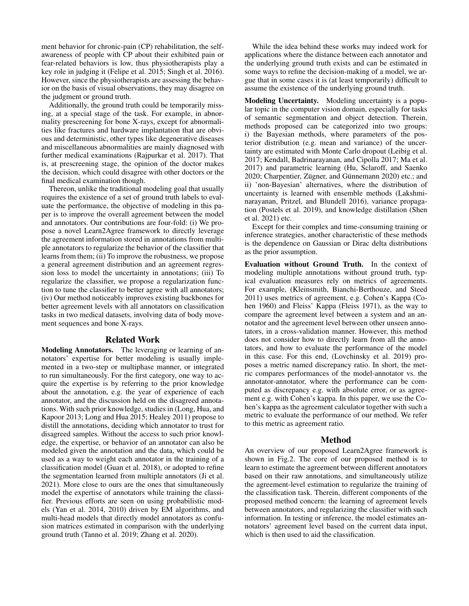ment behavior for chronic-pain (CP) rehabilitation, the selfawareness of people with CP about their exhibited pain or fear-related behaviors is low, thus physiotherapists play a key role in judging it (Felipe et al. 2015; Singh et al. 2016). However, since the physiotherapists are assessing the behavior on the basis of visual observations, they may disagree on the judgment or ground truth.

Additionally, the ground truth could be temporarily missing, at a special stage of the task. For example, in abnormality prescreening for bone X-rays, except for abnormalities like fractures and hardware implantation that are obvious and deterministic, other types like degenerative diseases and miscellaneous abnormalities are mainly diagnosed with further medical examinations (Rajpurkar et al. 2017). That is, at prescreening stage, the opinion of the doctor makes the decision, which could disagree with other doctors or the final medical examination though.

Thereon, unlike the traditional modeling goal that usually requires the existence of a set of ground truth labels to evaluate the performance, the objective of modeling in this paper is to improve the overall agreement between the model and annotators. Our contributions are four-fold: (i) We propose a novel Learn2Agree framework to directly leverage the agreement information stored in annotations from multiple annotators to regularize the behavior of the classifier that learns from them; (ii) To improve the robustness, we propose a general agreement distribution and an agreement regression loss to model the uncertainty in annotations; (iii) To regularize the classifier, we propose a regularization function to tune the classifier to better agree with all annotators; (iv) Our method noticeably improves existing backbones for better agreement levels with all annotators on classification tasks in two medical datasets, involving data of body movement sequences and bone X-rays.

### Related Work

Modeling Annotators. The leveraging or learning of annotators' expertise for better modeling is usually implemented in a two-step or multiphase manner, or integrated to run simultaneously. For the first category, one way to acquire the expertise is by referring to the prior knowledge about the annotation, e.g. the year of experience of each annotator, and the discussion held on the disagreed annotations. With such prior knowledge, studies in (Long, Hua, and Kapoor 2013; Long and Hua 2015; Healey 2011) propose to distill the annotations, deciding which annotator to trust for disagreed samples. Without the access to such prior knowledge, the expertise, or behavior of an annotator can also be modeled given the annotation and the data, which could be used as a way to weight each annotator in the training of a classification model (Guan et al. 2018), or adopted to refine the segmentation learned from multiple annotators (Ji et al. 2021). More close to ours are the ones that simultaneously model the expertise of annotators while training the classifier. Previous efforts are seen on using probabilistic models (Yan et al. 2014, 2010) driven by EM algorithms, and multi-head models that directly model annotators as confusion matrices estimated in comparison with the underlying ground truth (Tanno et al. 2019; Zhang et al. 2020).

While the idea behind these works may indeed work for applications where the distance between each annotator and the underlying ground truth exists and can be estimated in some ways to refine the decision-making of a model, we argue that in some cases it is (at least temporarily) difficult to assume the existence of the underlying ground truth.

Modeling Uncertainty. Modeling uncertainty is a popular topic in the computer vision domain, especially for tasks of semantic segmentation and object detection. Therein, methods proposed can be categorized into two groups: i) the Bayesian methods, where parameters of the posterior distribution (e.g. mean and variance) of the uncertainty are estimated with Monte Carlo dropout (Leibig et al. 2017; Kendall, Badrinarayanan, and Cipolla 2017; Ma et al. 2017) and parametric learning (Hu, Sclaroff, and Saenko 2020; Charpentier, Zügner, and Günnemann 2020) etc.; and ii) 'non-Bayesian' alternatives, where the distribution of uncertainty is learned with ensemble methods (Lakshminarayanan, Pritzel, and Blundell 2016), variance propagation (Postels et al. 2019), and knowledge distillation (Shen et al. 2021) etc.

Except for their complex and time-consuming training or inference strategies, another characteristic of these methods is the dependence on Gaussian or Dirac delta distributions as the prior assumption.

Evaluation without Ground Truth. In the context of modeling multiple annotations without ground truth, typical evaluation measures rely on metrics of agreements. For example, (Kleinsmith, Bianchi-Berthouze, and Steed 2011) uses metrics of agreement, e.g. Cohen's Kappa (Cohen 1960) and Fleiss' Kappa (Fleiss 1971), as the way to compare the agreement level between a system and an annotator and the agreement level between other unseen annotators, in a cross-validation manner. However, this method does not consider how to directly learn from all the annotators, and how to evaluate the performance of the model in this case. For this end, (Lovchinsky et al. 2019) proposes a metric named discrepancy ratio. In short, the metric compares performances of the model-annotator vs. the annotator-annotator, where the performance can be computed as discrepancy e.g. with absolute error, or as agreement e.g. with Cohen's kappa. In this paper, we use the Cohen's kappa as the agreement calculator together with such a metric to evaluate the performance of our method. We refer to this metric as agreement ratio.

### Method

An overview of our proposed Learn2Agree framework is shown in Fig.2. The core of our proposed method is to learn to estimate the agreement between different annotators based on their raw annotations, and simultaneously utilize the agreement-level estimation to regularize the training of the classification task. Therein, different components of the proposed method concern: the learning of agreement levels between annotators, and regularizing the classifier with such information. In testing or inference, the model estimates annotators' agreement level based on the current data input, which is then used to aid the classification.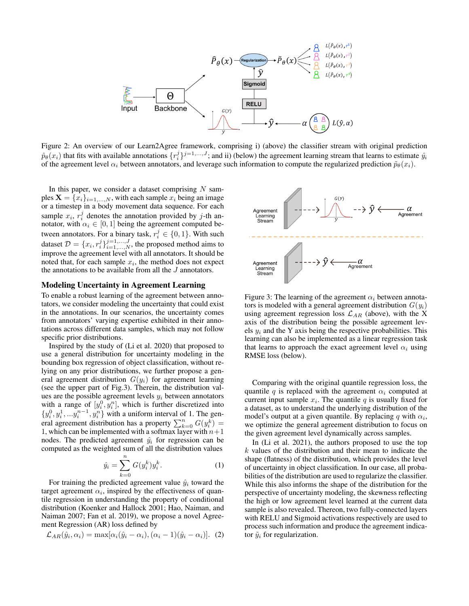

Figure 2: An overview of our Learn2Agree framework, comprising i) (above) the classifier stream with original prediction  $\hat{p}_{\theta}(x_i)$  that fits with available annotations  $\{r_i^j\}^{j=1,...,J}$ ; and ii) (below) the agreement learning stream that learns to estimate  $\hat{y}_i$ of the agreement level  $\alpha_i$  between annotators, and leverage such information to compute the regularized prediction  $\tilde{p}_\theta(x_i)$ .

In this paper, we consider a dataset comprising  $N$  samples  $X = \{x_i\}_{i=1,\dots,N}$ , with each sample  $x_i$  being an image or a timestep in a body movement data sequence. For each sample  $x_i$ ,  $r_i^j$  denotes the annotation provided by j-th annotator, with  $\alpha_i \in [0, 1]$  being the agreement computed between annotators. For a binary task,  $r_i^j \in \{0, 1\}$ . With such dataset  $\mathcal{D} = \{x_i, r_i^j\}_{i=1,\dots,N}^{j=1,\dots,J}$ , the proposed method aims to improve the agreement level with all annotators. It should be noted that, for each sample  $x_i$ , the method does not expect the annotations to be available from all the J annotators.

### Modeling Uncertainty in Agreement Learning

To enable a robust learning of the agreement between annotators, we consider modeling the uncertainty that could exist in the annotations. In our scenarios, the uncertainty comes from annotators' varying expertise exhibited in their annotations across different data samples, which may not follow specific prior distributions.

Inspired by the study of (Li et al. 2020) that proposed to use a general distribution for uncertainty modeling in the bounding box regression of object classification, without relying on any prior distributions, we further propose a general agreement distribution  $G(y_i)$  for agreement learning (see the upper part of Fig.3). Therein, the distribution values are the possible agreement levels  $y_i$  between annotators with a range of  $[y_i^0, y_i^n]$ , which is further discretized into  $\{y_i^0, y_i^1, \ldots y_i^{n-1}, y_i^n\}$  with a uniform interval of 1. The general agreement distribution has a property  $\sum_{k=0}^{n} G(y_i^k)$ 1, which can be implemented with a softmax layer with  $n+1$ nodes. The predicted agreement  $\hat{y}_i$  for regression can be computed as the weighted sum of all the distribution values

$$
\hat{y}_i = \sum_{k=0}^n G(y_i^k) y_i^k.
$$
 (1)

For training the predicted agreement value  $\hat{y}_i$  toward the target agreement  $\alpha_i$ , inspired by the effectiveness of quantile regression in understanding the property of conditional distribution (Koenker and Hallock 2001; Hao, Naiman, and Naiman 2007; Fan et al. 2019), we propose a novel Agreement Regression (AR) loss defined by

$$
\mathcal{L}_{AR}(\hat{y}_i, \alpha_i) = \max[\alpha_i(\hat{y}_i - \alpha_i), (\alpha_i - 1)(\hat{y}_i - \alpha_i)]. \tag{2}
$$



Figure 3: The learning of the agreement  $\alpha_i$  between annotators is modeled with a general agreement distribution  $G(y_i)$ using agreement regression loss  $\mathcal{L}_{AR}$  (above), with the X axis of the distribution being the possible agreement levels  $y_i$  and the Y axis being the respective probabilities. This learning can also be implemented as a linear regression task that learns to approach the exact agreement level  $\alpha_i$  using RMSE loss (below).

Comparing with the original quantile regression loss, the quantile q is replaced with the agreement  $\alpha_i$  computed at current input sample  $x_i$ . The quantile  $q$  is usually fixed for a dataset, as to understand the underlying distribution of the model's output at a given quantile. By replacing q with  $\alpha_i$ , we optimize the general agreement distribution to focus on the given agreement level dynamically across samples.

In (Li et al. 2021), the authors proposed to use the top  $k$  values of the distribution and their mean to indicate the shape (flatness) of the distribution, which provides the level of uncertainty in object classification. In our case, all probabilities of the distribution are used to regularize the classifier. While this also informs the shape of the distribution for the perspective of uncertainty modeling, the skewness reflecting the high or low agreement level learned at the current data sample is also revealed. Thereon, two fully-connected layers with RELU and Sigmoid activations respectively are used to process such information and produce the agreement indicator  $\tilde{y}_i$  for regularization.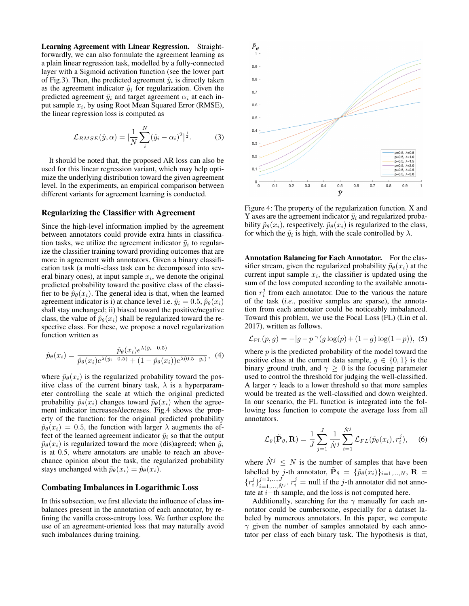Learning Agreement with Linear Regression. Straightforwardly, we can also formulate the agreement learning as a plain linear regression task, modelled by a fully-connected layer with a Sigmoid activation function (see the lower part of Fig.3). Then, the predicted agreement  $\hat{y}_i$  is directly taken as the agreement indicator  $\tilde{y}_i$  for regularization. Given the predicted agreement  $\hat{y}_i$  and target agreement  $\alpha_i$  at each input sample  $x_i$ , by using Root Mean Squared Error (RMSE), the linear regression loss is computed as

$$
\mathcal{L}_{RMSE}(\hat{y}, \alpha) = [\frac{1}{N} \sum_{i}^{N} (\hat{y}_i - \alpha_i)^2]^{\frac{1}{2}}.
$$
 (3)

It should be noted that, the proposed AR loss can also be used for this linear regression variant, which may help optimize the underlying distribution toward the given agreement level. In the experiments, an empirical comparison between different variants for agreement learning is conducted.

## Regularizing the Classifier with Agreement

Since the high-level information implied by the agreement between annotators could provide extra hints in classification tasks, we utilize the agreement indicator  $\tilde{y}_i$  to regularize the classifier training toward providing outcomes that are more in agreement with annotators. Given a binary classification task (a multi-class task can be decomposed into several binary ones), at input sample  $x_i$ , we denote the original predicted probability toward the positive class of the classifier to be  $\hat{p}_{\theta}(x_i)$ . The general idea is that, when the learned agreement indicator is i) at chance level i.e.  $\tilde{y}_i = 0.5$ ,  $\hat{p}_\theta(x_i)$ shall stay unchanged; ii) biased toward the positive/negative class, the value of  $\hat{p}_{\theta}(x_i)$  shall be regularized toward the respective class. For these, we propose a novel regularization function written as

$$
\tilde{p}_{\theta}(x_i) = \frac{\hat{p}_{\theta}(x_i)e^{\lambda(\tilde{y}_i - 0.5)}}{\hat{p}_{\theta}(x_i)e^{\lambda(\tilde{y}_i - 0.5)} + (1 - \hat{p}_{\theta}(x_i))e^{\lambda(0.5 - \tilde{y}_i)}},
$$
(4)

where  $\tilde{p}_{\theta}(x_i)$  is the regularized probability toward the positive class of the current binary task,  $\lambda$  is a hyperparameter controlling the scale at which the original predicted probability  $\hat{p}_{\theta}(x_i)$  changes toward  $\tilde{p}_{\theta}(x_i)$  when the agreement indicator increases/decreases. Fig.4 shows the property of the function: for the original predicted probability  $\hat{p}_{\theta}(x_i) = 0.5$ , the function with larger  $\lambda$  augments the effect of the learned agreement indicator  $\tilde{y}_i$  so that the output  $\tilde{p}_{\theta}(x_i)$  is regularized toward the more (dis)agreed; when  $\tilde{y}_i$ is at 0.5, where annotators are unable to reach an abovechance opinion about the task, the regularized probability stays unchanged with  $\tilde{p}_{\theta}(x_i) = \hat{p}_{\theta}(x_i)$ .

## Combating Imbalances in Logarithmic Loss

In this subsection, we first alleviate the influence of class imbalances present in the annotation of each annotator, by refining the vanilla cross-entropy loss. We further explore the use of an agreement-oriented loss that may naturally avoid such imbalances during training.



Figure 4: The property of the regularization function. X and Y axes are the agreement indicator  $\tilde{y}_i$  and regularized probability  $\tilde{p}_{\theta}(x_i)$ , respectively.  $\tilde{p}_{\theta}(x_i)$  is regularized to the class, for which the  $\tilde{y}_i$  is high, with the scale controlled by  $\lambda$ .

Annotation Balancing for Each Annotator. For the classifier stream, given the regularized probability  $\tilde{p}_{\theta}(x_i)$  at the current input sample  $x_i$ , the classifier is updated using the sum of the loss computed according to the available annotation  $r_i^j$  from each annotator. Due to the various the nature of the task (*i.e.*, positive samples are sparse), the annotation from each annotator could be noticeably imbalanced. Toward this problem, we use the Focal Loss (FL) (Lin et al. 2017), written as follows.

$$
\mathcal{L}_{\text{FL}}(p,g) = -|g-p|^{\gamma}(g\log(p) + (1-g)\log(1-p)), \text{ (5)}
$$

where  $p$  is the predicted probability of the model toward the positive class at the current data sample,  $g \in \{0, 1\}$  is the binary ground truth, and  $\gamma \geq 0$  is the focusing parameter used to control the threshold for judging the well-classified. A larger  $\gamma$  leads to a lower threshold so that more samples would be treated as the well-classified and down weighted. In our scenario, the FL function is integrated into the following loss function to compute the average loss from all annotators.

$$
\mathcal{L}_{\theta}(\tilde{\mathbf{P}}_{\theta}, \mathbf{R}) = \frac{1}{J} \sum_{j=1}^{J} \frac{1}{\dot{N}^{j}} \sum_{i=1}^{\dot{N}^{j}} \mathcal{L}_{FL}(\tilde{p}_{\theta}(x_{i}), r_{i}^{j}), \quad (6)
$$

where  $\dot{N}^j \leq N$  is the number of samples that have been labelled by j-th annotator,  $\tilde{\mathbf{P}}_{\theta} = {\{\tilde{p}_{\theta}(x_i)\}_{i=1,...,N}}$ ,  $\mathbf{R} =$  ${r_i^j}_{i=1,\ldots,N_j}^{j=1,\ldots,J}$ .  $r_i^j$  = null if the j-th annotator did not annotate at i−th sample, and the loss is not computed here.

Additionally, searching for the  $\gamma$  manually for each annotator could be cumbersome, especially for a dataset labeled by numerous annotators. In this paper, we compute  $\gamma$  given the number of samples annotated by each annotator per class of each binary task. The hypothesis is that,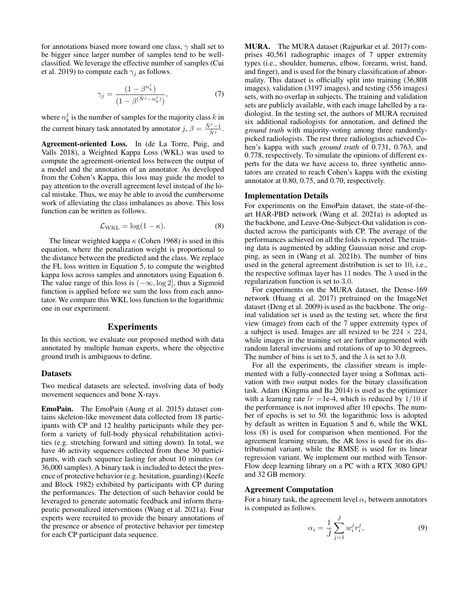for annotations biased more toward one class,  $\gamma$  shall set to be bigger since larger number of samples tend to be wellclassified. We leverage the effective number of samples (Cui et al. 2019) to compute each  $\gamma_i$  as follows.

$$
\gamma_j = \frac{(1 - \beta^{n_k^j})}{(1 - \beta^{(\dot{N}^j - n_k^j)})},\tag{7}
$$

where  $n_k^j$  is the number of samples for the majority class  $k$  in the current binary task annotated by annotator  $j, \beta = \frac{\hat{N}^j-1}{\hat{N}^j}$  $\frac{y-1}{\tilde{N}^j}$ .

Agreement-oriented Loss. In (de La Torre, Puig, and Valls 2018), a Weighted Kappa Loss (WKL) was used to compute the agreement-oriented loss between the output of a model and the annotation of an annotator. As developed from the Cohen's Kappa, this loss may guide the model to pay attention to the overall agreement level instead of the local mistake. Thus, we may be able to avoid the cumbersome work of alleviating the class imbalances as above. This loss function can be written as follows.

$$
\mathcal{L}_{\text{WKL}} = \log(1 - \kappa). \tag{8}
$$

The linear weighted kappa  $\kappa$  (Cohen 1968) is used in this equation, where the penalization weight is proportional to the distance between the predicted and the class. We replace the FL loss written in Equation 5, to compute the weighted kappa loss across samples and annotators using Equation 6. The value range of this loss is  $(-\infty, \log 2]$ , thus a Sigmoid function is applied before we sum the loss from each annotator. We compare this WKL loss function to the logarithmic one in our experiment.

## Experiments

In this section, we evaluate our proposed method with data annotated by multiple human experts, where the objective ground truth is ambiguous to define.

## Datasets

Two medical datasets are selected, involving data of body movement sequences and bone X-rays.

EmoPain. The EmoPain (Aung et al. 2015) dataset contains skeleton-like movement data collected from 18 participants with CP and 12 healthy participants while they perform a variety of full-body physical rehabilitation activities (e.g. stretching forward and sitting down). In total, we have 46 activity sequences collected from these 30 participants, with each sequence lasting for about 10 minutes (or 36,000 samples). A binary task is included to detect the presence of protective behavior (e.g. hesitation, guarding) (Keefe and Block 1982) exhibited by participants with CP during the performances. The detection of such behavior could be leveraged to generate automatic feedback and inform therapeutic personalized interventions (Wang et al. 2021a). Four experts were recruited to provide the binary annotations of the presence or absence of protective behavior per timestep for each CP participant data sequence.

MURA. The MURA dataset (Rajpurkar et al. 2017) comprises 40,561 radiographic images of 7 upper extremity types (i.e., shoulder, humerus, elbow, forearm, wrist, hand, and finger), and is used for the binary classification of abnormality. This dataset is officially split into training (36,808 images), validation (3197 images), and testing (556 images) sets, with no overlap in subjects. The training and validation sets are publicly available, with each image labelled by a radiologist. In the testing set, the authors of MURA recruited six additional radiologists for annotation, and defined the *ground truth* with majority-voting among three randomlypicked radiologists. The rest three radiologists achieved Cohen's kappa with such *ground truth* of 0.731, 0.763, and 0.778, respectively. To simulate the opinions of different experts for the data we have access to, three synthetic annotators are created to reach Cohen's kappa with the existing annotator at 0.80, 0.75, and 0.70, respectively.

#### Implementation Details

For experiments on the EmoPain dataset, the state-of-theart HAR-PBD network (Wang et al. 2021a) is adopted as the backbone, and Leave-One-Subject-Out validation is conducted across the participants with CP. The average of the performances achieved on all the folds is reported. The training data is augmented by adding Gaussian noise and cropping, as seen in (Wang et al. 2021b). The number of bins used in the general agreement distribution is set to 10, i.e., the respective softmax layer has 11 nodes. The  $\lambda$  used in the regularization function is set to 3.0.

For experiments on the MURA dataset, the Dense-169 network (Huang et al. 2017) pretrained on the ImageNet dataset (Deng et al. 2009) is used as the backbone. The original validation set is used as the testing set, where the first view (image) from each of the 7 upper extremity types of a subject is used. Images are all resized to be  $224 \times 224$ , while images in the training set are further augmented with random lateral inversions and rotations of up to 30 degrees. The number of bins is set to 5, and the  $\lambda$  is set to 3.0.

For all the experiments, the classifier stream is implemented with a fully-connected layer using a Softmax activation with two output nodes for the binary classification task. Adam (Kingma and Ba 2014) is used as the optimizer with a learning rate  $lr =1e-4$ , which is reduced by  $1/10$  if the performance is not improved after 10 epochs. The number of epochs is set to 50. the logarithmic loss is adopted by default as written in Equation 5 and 6, while the WKL loss (8) is used for comparison when mentioned. For the agreement learning stream, the AR loss is used for its distributional variant, while the RMSE is used for its linear regression variant. We implement our method with Tensor-Flow deep learning library on a PC with a RTX 3080 GPU and 32 GB memory.

#### Agreement Computation

For a binary task, the agreement level  $\alpha_i$  between annotators is computed as follows.

$$
\alpha_i = \frac{1}{j} \sum_{j=1}^{j} w_i^j r_i^j,\tag{9}
$$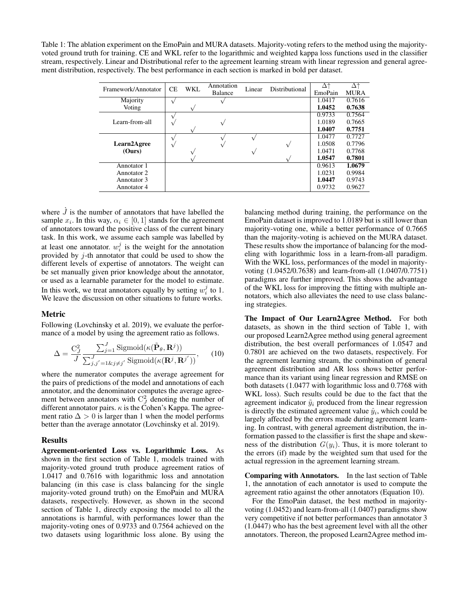Table 1: The ablation experiment on the EmoPain and MURA datasets. Majority-voting refers to the method using the majorityvoted ground truth for training. CE and WKL refer to the logarithmic and weighted kappa loss functions used in the classifier stream, respectively. Linear and Distributional refer to the agreement learning stream with linear regression and general agreement distribution, respectively. The best performance in each section is marked in bold per dataset.

| Framework/Annotator   | CE | WKL | Annotation<br><b>Balance</b> | Linear | Distributional | EmoPain | Δ↑<br><b>MURA</b> |
|-----------------------|----|-----|------------------------------|--------|----------------|---------|-------------------|
| Majority              |    |     |                              |        |                | 1.0417  | 0.7616            |
| Voting                |    |     |                              |        |                | 1.0452  | 0.7638            |
| Learn-from-all        |    |     |                              |        |                | 0.9733  | 0.7564            |
|                       |    |     |                              |        |                | 1.0189  | 0.7665            |
|                       |    |     |                              |        |                | 1.0407  | 0.7751            |
| Learn2Agree<br>(Ours) |    |     |                              |        |                | 1.0477  | 0.7727            |
|                       |    |     |                              |        |                | 1.0508  | 0.7796            |
|                       |    |     |                              |        |                | 1.0471  | 0.7768            |
|                       |    |     |                              |        |                | 1.0547  | 0.7801            |
| Annotator 1           |    |     |                              |        |                | 0.9613  | 1.0679            |
| Annotator 2           |    |     |                              |        |                | 1.0231  | 0.9984            |
| Annotator 3           |    |     |                              |        |                | 1.0447  | 0.9743            |
| Annotator 4           |    |     |                              |        |                | 0.9732  | 0.9627            |

where  $\dot{J}$  is the number of annotators that have labelled the sample  $x_i$ . In this way,  $\alpha_i \in [0,1]$  stands for the agreement of annotators toward the positive class of the current binary task. In this work, we assume each sample was labelled by at least one annotator.  $w_i^j$  is the weight for the annotation provided by  $j$ -th annotator that could be used to show the different levels of expertise of annotators. The weight can be set manually given prior knowledge about the annotator, or used as a learnable parameter for the model to estimate. In this work, we treat annotators equally by setting  $w_i^j$  to 1. We leave the discussion on other situations to future works.

## Metric

Following (Lovchinsky et al. 2019), we evaluate the performance of a model by using the agreement ratio as follows.

$$
\Delta = \frac{C_J^2}{J} \frac{\sum_{j=1}^J \text{Sigmoid}(\kappa(\tilde{\mathbf{P}}_{\theta}, \mathbf{R}^j))}{\sum_{j,j'=1 \& j \neq j'}^J \text{Sigmoid}(\kappa(\mathbf{R}^j, \mathbf{R}^{j'}))}, \quad (10)
$$

where the numerator computes the average agreement for the pairs of predictions of the model and annotations of each annotator, and the denominator computes the average agreement between annotators with  $C_J^2$  denoting the number of different annotator pairs.  $\kappa$  is the Cohen's Kappa. The agreement ratio  $\Delta > 0$  is larger than 1 when the model performs better than the average annotator (Lovchinsky et al. 2019).

### Results

Agreement-oriented Loss vs. Logarithmic Loss. As shown in the first section of Table 1, models trained with majority-voted ground truth produce agreement ratios of 1.0417 and 0.7616 with logarithmic loss and annotation balancing (in this case is class balancing for the single majority-voted ground truth) on the EmoPain and MURA datasets, respectively. However, as shown in the second section of Table 1, directly exposing the model to all the annotations is harmful, with performances lower than the majority-voting ones of 0.9733 and 0.7564 achieved on the two datasets using logarithmic loss alone. By using the

balancing method during training, the performance on the EmoPain dataset is improved to 1.0189 but is still lower than majority-voting one, while a better performance of 0.7665 than the majority-voting is achieved on the MURA dataset. These results show the importance of balancing for the modeling with logarithmic loss in a learn-from-all paradigm. With the WKL loss, performances of the model in majorityvoting (1.0452/0.7638) and learn-from-all (1.0407/0.7751) paradigms are further improved. This shows the advantage of the WKL loss for improving the fitting with multiple annotators, which also alleviates the need to use class balancing strategies.

The Impact of Our Learn2Agree Method. For both datasets, as shown in the third section of Table 1, with our proposed Learn2Agree method using general agreement distribution, the best overall performances of 1.0547 and 0.7801 are achieved on the two datasets, respectively. For the agreement learning stream, the combination of general agreement distribution and AR loss shows better performance than its variant using linear regression and RMSE on both datasets (1.0477 with logarithmic loss and 0.7768 with WKL loss). Such results could be due to the fact that the agreement indicator  $\tilde{y}_i$  produced from the linear regression is directly the estimated agreement value  $\hat{y}_i$ , which could be largely affected by the errors made during agreement learning. In contrast, with general agreement distribution, the information passed to the classifier is first the shape and skewness of the distribution  $G(y_i)$ . Thus, it is more tolerant to the errors (if) made by the weighted sum that used for the actual regression in the agreement learning stream.

Comparing with Annotators. In the last section of Table 1, the annotation of each annotator is used to compute the agreement ratio against the other annotators (Equation 10).

For the EmoPain dataset, the best method in majorityvoting (1.0452) and learn-from-all (1.0407) paradigms show very competitive if not better performances than annotator 3 (1.0447) who has the best agreement level with all the other annotators. Thereon, the proposed Learn2Agree method im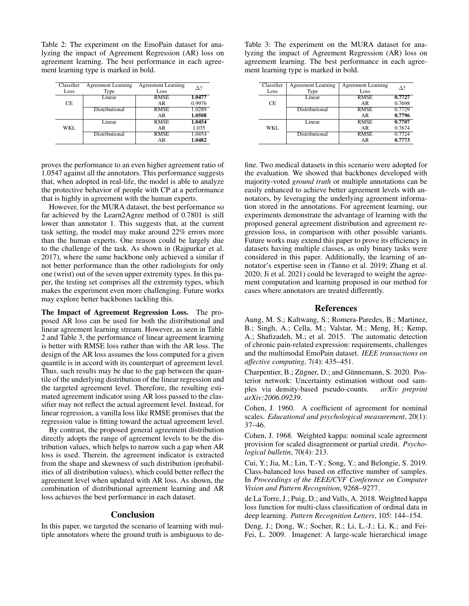Table 2: The experiment on the EmoPain dataset for analyzing the impact of Agreement Regression (AR) loss on agreement learning. The best performance in each agreement learning type is marked in bold.

| Classifier<br>Loss | <b>Agreement Learning</b><br>Type | <b>Agreement Learning</b><br>Loss |        |
|--------------------|-----------------------------------|-----------------------------------|--------|
|                    | Linear                            | <b>RMSE</b>                       | 1.0477 |
| CE                 |                                   | AR                                | 0.9976 |
|                    | Distributional                    | <b>RMSE</b>                       | 1.0289 |
|                    |                                   | AR                                | 1.0508 |
| WKL.               | Linear                            | <b>RMSE</b>                       | 1.0454 |
|                    |                                   | AR                                | 1.035  |
|                    | Distributional                    | <b>RMSE</b>                       | 1.0454 |
|                    |                                   | AR                                | 1.0482 |

proves the performance to an even higher agreement ratio of 1.0547 against all the annotators. This performance suggests that, when adopted in real-life, the model is able to analyze the protective behavior of people with CP at a performance that is highly in agreement with the human experts.

However, for the MURA dataset, the best performance so far achieved by the Learn2Agree method of 0.7801 is still lower than annotator 1. This suggests that, at the current task setting, the model may make around 22% errors more than the human experts. One reason could be largely due to the challenge of the task. As shown in (Rajpurkar et al. 2017), where the same backbone only achieved a similar if not better performance than the other radiologists for only one (wrist) out of the seven upper extremity types. In this paper, the testing set comprises all the extremity types, which makes the experiment even more challenging. Future works may explore better backbones tackling this.

The Impact of Agreement Regression Loss. The proposed AR loss can be used for both the distributional and linear agreement learning stream. However, as seen in Table 2 and Table 3, the performance of linear agreement learning is better with RMSE loss rather than with the AR loss. The design of the AR loss assumes the loss computed for a given quantile is in accord with its counterpart of agreement level. Thus, such results may be due to the gap between the quantile of the underlying distribution of the linear regression and the targeted agreement level. Therefore, the resulting estimated agreement indicator using AR loss passed to the classifier may not reflect the actual agreement level. Instead, for linear regression, a vanilla loss like RMSE promises that the regression value is fitting toward the actual agreement level.

By contrast, the proposed general agreement distribution directly adopts the range of agreement levels to be the distribution values, which helps to narrow such a gap when AR loss is used. Therein, the agreement indicator is extracted from the shape and skewness of such distribution (probabilities of all distribution values), which could better reflect the agreement level when updated with AR loss. As shown, the combination of distributional agreement learning and AR loss achieves the best performance in each dataset.

## **Conclusion**

In this paper, we targeted the scenario of learning with multiple annotators where the ground truth is ambiguous to de-

Table 3: The experiment on the MURA dataset for analyzing the impact of Agreement Regression (AR) loss on agreement learning. The best performance in each agreement learning type is marked in bold.

| Classifier | <b>Agreement Learning</b> | <b>Agreement Learning</b> | 74     |  |
|------------|---------------------------|---------------------------|--------|--|
| Loss       | Type                      | Loss                      |        |  |
|            | Linear                    | <b>RMSE</b>               | 0.7727 |  |
| CE.        |                           | AR                        | 0.7698 |  |
|            | <b>Distributional</b>     | <b>RMSE</b>               | 0.7729 |  |
|            |                           | AR                        | 0.7796 |  |
| WKL.       | Linear                    | <b>RMSE</b>               | 0.7707 |  |
|            |                           | AR                        | 0.7674 |  |
|            | <b>Distributional</b>     | <b>RMSE</b>               | 0.7724 |  |
|            |                           | AR                        | 0.7773 |  |

fine. Two medical datasets in this scenario were adopted for the evaluation. We showed that backbones developed with majority-voted *ground truth* or multiple annotations can be easily enhanced to achieve better agreement levels with annotators, by leveraging the underlying agreement information stored in the annotations. For agreement learning, our experiments demonstrate the advantage of learning with the proposed general agreement distribution and agreement regression loss, in comparison with other possible variants. Future works may extend this paper to prove its efficiency in datasets having multiple classes, as only binary tasks were considered in this paper. Additionally, the learning of annotator's expertise seen in (Tanno et al. 2019; Zhang et al. 2020; Ji et al. 2021) could be leveraged to weight the agreement computation and learning proposed in our method for cases where annotators are treated differently.

#### References

Aung, M. S.; Kaltwang, S.; Romera-Paredes, B.; Martinez, B.; Singh, A.; Cella, M.; Valstar, M.; Meng, H.; Kemp, A.; Shafizadeh, M.; et al. 2015. The automatic detection of chronic pain-related expression: requirements, challenges and the multimodal EmoPain dataset. *IEEE transactions on affective computing*, 7(4): 435–451.

Charpentier, B.; Zügner, D.; and Günnemann, S. 2020. Posterior network: Uncertainty estimation without ood samples via density-based pseudo-counts. *arXiv preprint* ples via density-based pseudo-counts. *arXiv:2006.09239*.

Cohen, J. 1960. A coefficient of agreement for nominal scales. *Educational and psychological measurement*, 20(1): 37–46.

Cohen, J. 1968. Weighted kappa: nominal scale agreement provision for scaled disagreement or partial credit. *Psychological bulletin*, 70(4): 213.

Cui, Y.; Jia, M.; Lin, T.-Y.; Song, Y.; and Belongie, S. 2019. Class-balanced loss based on effective number of samples. In *Proceedings of the IEEE/CVF Conference on Computer Vision and Pattern Recognition*, 9268–9277.

de La Torre, J.; Puig, D.; and Valls, A. 2018. Weighted kappa loss function for multi-class classification of ordinal data in deep learning. *Pattern Recognition Letters*, 105: 144–154.

Deng, J.; Dong, W.; Socher, R.; Li, L.-J.; Li, K.; and Fei-Fei, L. 2009. Imagenet: A large-scale hierarchical image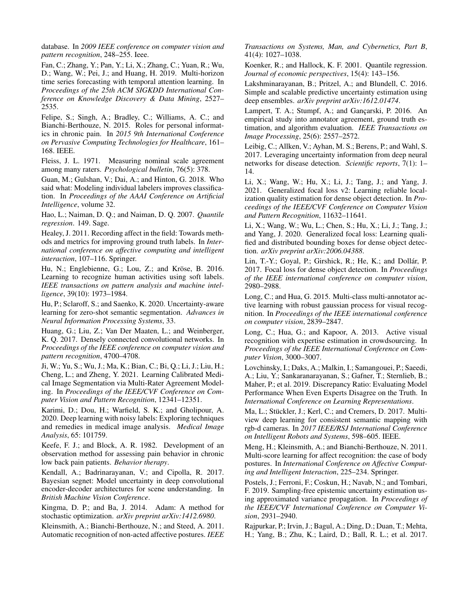database. In *2009 IEEE conference on computer vision and pattern recognition*, 248–255. Ieee.

Fan, C.; Zhang, Y.; Pan, Y.; Li, X.; Zhang, C.; Yuan, R.; Wu, D.; Wang, W.; Pei, J.; and Huang, H. 2019. Multi-horizon time series forecasting with temporal attention learning. In *Proceedings of the 25th ACM SIGKDD International Conference on Knowledge Discovery & Data Mining*, 2527– 2535.

Felipe, S.; Singh, A.; Bradley, C.; Williams, A. C.; and Bianchi-Berthouze, N. 2015. Roles for personal informatics in chronic pain. In *2015 9th International Conference on Pervasive Computing Technologies for Healthcare*, 161– 168. IEEE.

Fleiss, J. L. 1971. Measuring nominal scale agreement among many raters. *Psychological bulletin*, 76(5): 378.

Guan, M.; Gulshan, V.; Dai, A.; and Hinton, G. 2018. Who said what: Modeling individual labelers improves classification. In *Proceedings of the AAAI Conference on Artificial Intelligence*, volume 32.

Hao, L.; Naiman, D. Q.; and Naiman, D. Q. 2007. *Quantile regression*. 149. Sage.

Healey, J. 2011. Recording affect in the field: Towards methods and metrics for improving ground truth labels. In *International conference on affective computing and intelligent interaction*, 107–116. Springer.

Hu, N.; Englebienne, G.; Lou, Z.; and Kröse, B. 2016. Learning to recognize human activities using soft labels. *IEEE transactions on pattern analysis and machine intelligence*, 39(10): 1973–1984.

Hu, P.; Sclaroff, S.; and Saenko, K. 2020. Uncertainty-aware learning for zero-shot semantic segmentation. *Advances in Neural Information Processing Systems*, 33.

Huang, G.; Liu, Z.; Van Der Maaten, L.; and Weinberger, K. Q. 2017. Densely connected convolutional networks. In *Proceedings of the IEEE conference on computer vision and pattern recognition*, 4700–4708.

Ji, W.; Yu, S.; Wu, J.; Ma, K.; Bian, C.; Bi, Q.; Li, J.; Liu, H.; Cheng, L.; and Zheng, Y. 2021. Learning Calibrated Medical Image Segmentation via Multi-Rater Agreement Modeling. In *Proceedings of the IEEE/CVF Conference on Computer Vision and Pattern Recognition*, 12341–12351.

Karimi, D.; Dou, H.; Warfield, S. K.; and Gholipour, A. 2020. Deep learning with noisy labels: Exploring techniques and remedies in medical image analysis. *Medical Image Analysis*, 65: 101759.

Keefe, F. J.; and Block, A. R. 1982. Development of an observation method for assessing pain behavior in chronic low back pain patients. *Behavior therapy*.

Kendall, A.; Badrinarayanan, V.; and Cipolla, R. 2017. Bayesian segnet: Model uncertainty in deep convolutional encoder-decoder architectures for scene understanding. In *British Machine Vision Conference*.

Kingma, D. P.; and Ba, J. 2014. Adam: A method for stochastic optimization. *arXiv preprint arXiv:1412.6980*.

Kleinsmith, A.; Bianchi-Berthouze, N.; and Steed, A. 2011. Automatic recognition of non-acted affective postures. *IEEE*

*Transactions on Systems, Man, and Cybernetics, Part B*, 41(4): 1027–1038.

Koenker, R.; and Hallock, K. F. 2001. Quantile regression. *Journal of economic perspectives*, 15(4): 143–156.

Lakshminarayanan, B.; Pritzel, A.; and Blundell, C. 2016. Simple and scalable predictive uncertainty estimation using deep ensembles. *arXiv preprint arXiv:1612.01474*.

Lampert, T. A.; Stumpf, A.; and Gancarski, P. 2016. An empirical study into annotator agreement, ground truth estimation, and algorithm evaluation. *IEEE Transactions on Image Processing*, 25(6): 2557–2572.

Leibig, C.; Allken, V.; Ayhan, M. S.; Berens, P.; and Wahl, S. 2017. Leveraging uncertainty information from deep neural networks for disease detection. *Scientific reports*, 7(1): 1– 14.

Li, X.; Wang, W.; Hu, X.; Li, J.; Tang, J.; and Yang, J. 2021. Generalized focal loss v2: Learning reliable localization quality estimation for dense object detection. In *Proceedings of the IEEE/CVF Conference on Computer Vision and Pattern Recognition*, 11632–11641.

Li, X.; Wang, W.; Wu, L.; Chen, S.; Hu, X.; Li, J.; Tang, J.; and Yang, J. 2020. Generalized focal loss: Learning qualified and distributed bounding boxes for dense object detection. *arXiv preprint arXiv:2006.04388*.

Lin, T.-Y.; Goyal, P.; Girshick, R.; He, K.; and Dollár, P. 2017. Focal loss for dense object detection. In *Proceedings of the IEEE international conference on computer vision*, 2980–2988.

Long, C.; and Hua, G. 2015. Multi-class multi-annotator active learning with robust gaussian process for visual recognition. In *Proceedings of the IEEE international conference on computer vision*, 2839–2847.

Long, C.; Hua, G.; and Kapoor, A. 2013. Active visual recognition with expertise estimation in crowdsourcing. In *Proceedings of the IEEE International Conference on Computer Vision*, 3000–3007.

Lovchinsky, I.; Daks, A.; Malkin, I.; Samangouei, P.; Saeedi, A.; Liu, Y.; Sankaranarayanan, S.; Gafner, T.; Sternlieb, B.; Maher, P.; et al. 2019. Discrepancy Ratio: Evaluating Model Performance When Even Experts Disagree on the Truth. In *International Conference on Learning Representations*.

Ma, L.; Stückler, J.; Kerl, C.; and Cremers, D. 2017. Multiview deep learning for consistent semantic mapping with rgb-d cameras. In *2017 IEEE/RSJ International Conference on Intelligent Robots and Systems*, 598–605. IEEE.

Meng, H.; Kleinsmith, A.; and Bianchi-Berthouze, N. 2011. Multi-score learning for affect recognition: the case of body postures. In *International Conference on Affective Computing and Intelligent Interaction*, 225–234. Springer.

Postels, J.; Ferroni, F.; Coskun, H.; Navab, N.; and Tombari, F. 2019. Sampling-free epistemic uncertainty estimation using approximated variance propagation. In *Proceedings of the IEEE/CVF International Conference on Computer Vision*, 2931–2940.

Rajpurkar, P.; Irvin, J.; Bagul, A.; Ding, D.; Duan, T.; Mehta, H.; Yang, B.; Zhu, K.; Laird, D.; Ball, R. L.; et al. 2017.